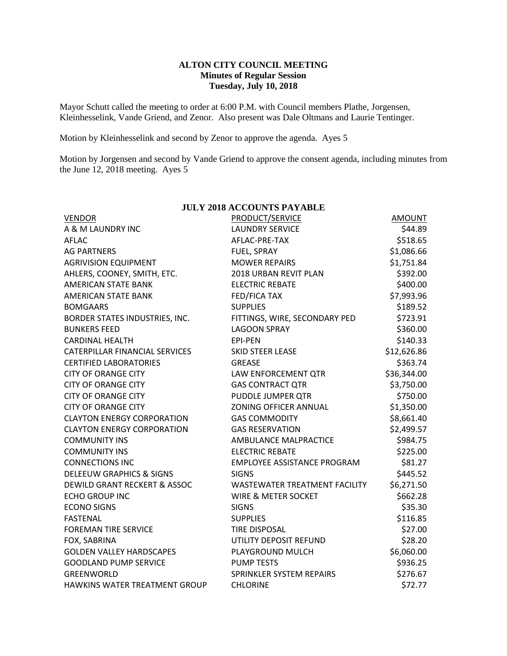## **ALTON CITY COUNCIL MEETING Minutes of Regular Session Tuesday, July 10, 2018**

Mayor Schutt called the meeting to order at 6:00 P.M. with Council members Plathe, Jorgensen, Kleinhesselink, Vande Griend, and Zenor. Also present was Dale Oltmans and Laurie Tentinger.

Motion by Kleinhesselink and second by Zenor to approve the agenda. Ayes 5

Motion by Jorgensen and second by Vande Griend to approve the consent agenda, including minutes from the June 12, 2018 meeting. Ayes 5

| <b>JULY 2018 ACCOUNTS PAYABLE</b>     |                                    |               |  |  |  |
|---------------------------------------|------------------------------------|---------------|--|--|--|
| <b>VENDOR</b>                         | PRODUCT/SERVICE                    | <b>AMOUNT</b> |  |  |  |
| A & M LAUNDRY INC                     | <b>LAUNDRY SERVICE</b>             | \$44.89       |  |  |  |
| AFLAC                                 | AFLAC-PRE-TAX                      | \$518.65      |  |  |  |
| <b>AG PARTNERS</b>                    | FUEL, SPRAY                        | \$1,086.66    |  |  |  |
| <b>AGRIVISION EQUIPMENT</b>           | <b>MOWER REPAIRS</b>               | \$1,751.84    |  |  |  |
| AHLERS, COONEY, SMITH, ETC.           | 2018 URBAN REVIT PLAN              | \$392.00      |  |  |  |
| <b>AMERICAN STATE BANK</b>            | <b>ELECTRIC REBATE</b>             | \$400.00      |  |  |  |
| <b>AMERICAN STATE BANK</b>            | <b>FED/FICA TAX</b>                | \$7,993.96    |  |  |  |
| <b>BOMGAARS</b>                       | <b>SUPPLIES</b>                    | \$189.52      |  |  |  |
| BORDER STATES INDUSTRIES, INC.        | FITTINGS, WIRE, SECONDARY PED      | \$723.91      |  |  |  |
| <b>BUNKERS FEED</b>                   | <b>LAGOON SPRAY</b>                | \$360.00      |  |  |  |
| <b>CARDINAL HEALTH</b>                | EPI-PEN                            | \$140.33      |  |  |  |
| <b>CATERPILLAR FINANCIAL SERVICES</b> | <b>SKID STEER LEASE</b>            | \$12,626.86   |  |  |  |
| <b>CERTIFIED LABORATORIES</b>         | <b>GREASE</b>                      | \$363.74      |  |  |  |
| <b>CITY OF ORANGE CITY</b>            | LAW ENFORCEMENT QTR                | \$36,344.00   |  |  |  |
| <b>CITY OF ORANGE CITY</b>            | <b>GAS CONTRACT QTR</b>            | \$3,750.00    |  |  |  |
| <b>CITY OF ORANGE CITY</b>            | PUDDLE JUMPER QTR                  | \$750.00      |  |  |  |
| <b>CITY OF ORANGE CITY</b>            | ZONING OFFICER ANNUAL              | \$1,350.00    |  |  |  |
| <b>CLAYTON ENERGY CORPORATION</b>     | <b>GAS COMMODITY</b>               | \$8,661.40    |  |  |  |
| <b>CLAYTON ENERGY CORPORATION</b>     | <b>GAS RESERVATION</b>             | \$2,499.57    |  |  |  |
| <b>COMMUNITY INS</b>                  | AMBULANCE MALPRACTICE              | \$984.75      |  |  |  |
| <b>COMMUNITY INS</b>                  | <b>ELECTRIC REBATE</b>             | \$225.00      |  |  |  |
| <b>CONNECTIONS INC</b>                | <b>EMPLOYEE ASSISTANCE PROGRAM</b> | \$81.27       |  |  |  |
| <b>DELEEUW GRAPHICS &amp; SIGNS</b>   | <b>SIGNS</b>                       | \$445.52      |  |  |  |
| DEWILD GRANT RECKERT & ASSOC          | WASTEWATER TREATMENT FACILITY      | \$6,271.50    |  |  |  |
| <b>ECHO GROUP INC</b>                 | <b>WIRE &amp; METER SOCKET</b>     | \$662.28      |  |  |  |
| <b>ECONO SIGNS</b>                    | <b>SIGNS</b>                       | \$35.30       |  |  |  |
| <b>FASTENAL</b>                       | <b>SUPPLIES</b>                    | \$116.85      |  |  |  |
| <b>FOREMAN TIRE SERVICE</b>           | <b>TIRE DISPOSAL</b>               | \$27.00       |  |  |  |
| FOX, SABRINA                          | UTILITY DEPOSIT REFUND             | \$28.20       |  |  |  |
| <b>GOLDEN VALLEY HARDSCAPES</b>       | PLAYGROUND MULCH                   | \$6,060.00    |  |  |  |
| <b>GOODLAND PUMP SERVICE</b>          | <b>PUMP TESTS</b>                  | \$936.25      |  |  |  |
| GREENWORLD                            | SPRINKLER SYSTEM REPAIRS           | \$276.67      |  |  |  |
| HAWKINS WATER TREATMENT GROUP         | <b>CHLORINE</b>                    | \$72.77       |  |  |  |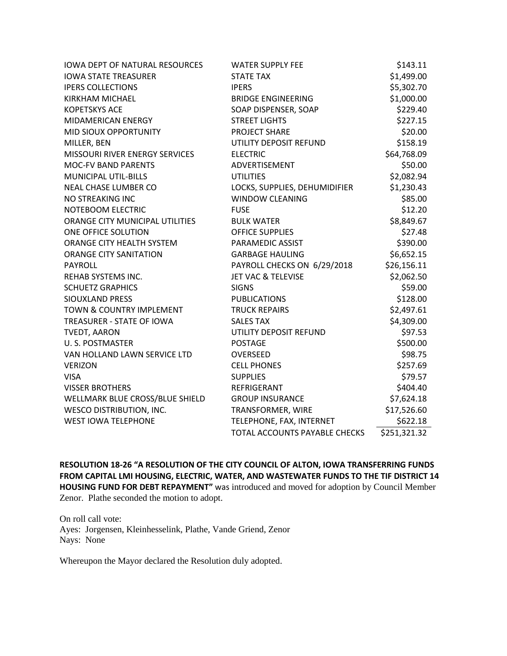| <b>IOWA DEPT OF NATURAL RESOURCES</b> | <b>WATER SUPPLY FEE</b>       | \$143.11     |
|---------------------------------------|-------------------------------|--------------|
| <b>IOWA STATE TREASURER</b>           | <b>STATE TAX</b>              | \$1,499.00   |
| <b>IPERS COLLECTIONS</b>              | <b>IPERS</b>                  | \$5,302.70   |
| <b>KIRKHAM MICHAEL</b>                | <b>BRIDGE ENGINEERING</b>     | \$1,000.00   |
| <b>KOPETSKYS ACE</b>                  | SOAP DISPENSER, SOAP          | \$229.40     |
| MIDAMERICAN ENERGY                    | <b>STREET LIGHTS</b>          | \$227.15     |
| MID SIOUX OPPORTUNITY                 | PROJECT SHARE                 | \$20.00      |
| MILLER, BEN                           | UTILITY DEPOSIT REFUND        | \$158.19     |
| MISSOURI RIVER ENERGY SERVICES        | <b>ELECTRIC</b>               | \$64,768.09  |
| <b>MOC-FV BAND PARENTS</b>            | ADVERTISEMENT                 | \$50.00      |
| <b>MUNICIPAL UTIL-BILLS</b>           | <b>UTILITIES</b>              | \$2,082.94   |
| NEAL CHASE LUMBER CO                  | LOCKS, SUPPLIES, DEHUMIDIFIER | \$1,230.43   |
| NO STREAKING INC                      | <b>WINDOW CLEANING</b>        | \$85.00      |
| NOTEBOOM ELECTRIC                     | <b>FUSE</b>                   | \$12.20      |
| ORANGE CITY MUNICIPAL UTILITIES       | <b>BULK WATER</b>             | \$8,849.67   |
| ONE OFFICE SOLUTION                   | <b>OFFICE SUPPLIES</b>        | \$27.48      |
| ORANGE CITY HEALTH SYSTEM             | PARAMEDIC ASSIST              | \$390.00     |
| <b>ORANGE CITY SANITATION</b>         | <b>GARBAGE HAULING</b>        | \$6,652.15   |
| PAYROLL                               | PAYROLL CHECKS ON 6/29/2018   | \$26,156.11  |
| REHAB SYSTEMS INC.                    | <b>JET VAC &amp; TELEVISE</b> | \$2,062.50   |
| <b>SCHUETZ GRAPHICS</b>               | <b>SIGNS</b>                  | \$59.00      |
| <b>SIOUXLAND PRESS</b>                | <b>PUBLICATIONS</b>           | \$128.00     |
| TOWN & COUNTRY IMPLEMENT              | <b>TRUCK REPAIRS</b>          | \$2,497.61   |
| TREASURER - STATE OF IOWA             | <b>SALES TAX</b>              | \$4,309.00   |
| <b>TVEDT, AARON</b>                   | UTILITY DEPOSIT REFUND        | \$97.53      |
| U.S. POSTMASTER                       | <b>POSTAGE</b>                | \$500.00     |
| VAN HOLLAND LAWN SERVICE LTD          | <b>OVERSEED</b>               | \$98.75      |
| <b>VERIZON</b>                        | <b>CELL PHONES</b>            | \$257.69     |
| <b>VISA</b>                           | <b>SUPPLIES</b>               | \$79.57      |
| <b>VISSER BROTHERS</b>                | REFRIGERANT                   | \$404.40     |
| WELLMARK BLUE CROSS/BLUE SHIELD       | <b>GROUP INSURANCE</b>        | \$7,624.18   |
| <b>WESCO DISTRIBUTION, INC.</b>       | TRANSFORMER, WIRE             | \$17,526.60  |
| <b>WEST IOWA TELEPHONE</b>            | TELEPHONE, FAX, INTERNET      | \$622.18     |
|                                       | TOTAL ACCOUNTS PAYABLE CHECKS | \$251,321.32 |

**RESOLUTION 18-26 "A RESOLUTION OF THE CITY COUNCIL OF ALTON, IOWA TRANSFERRING FUNDS FROM CAPITAL LMI HOUSING, ELECTRIC, WATER, AND WASTEWATER FUNDS TO THE TIF DISTRICT 14 HOUSING FUND FOR DEBT REPAYMENT"** was introduced and moved for adoption by Council Member Zenor. Plathe seconded the motion to adopt.

On roll call vote: Ayes: Jorgensen, Kleinhesselink, Plathe, Vande Griend, Zenor Nays: None

Whereupon the Mayor declared the Resolution duly adopted.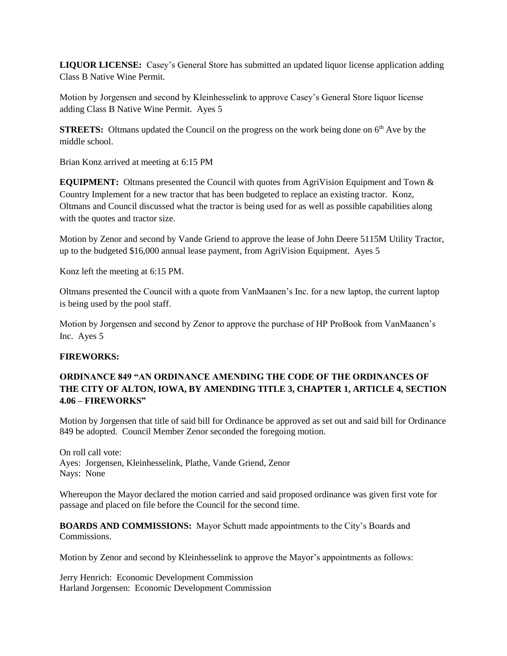**LIQUOR LICENSE:** Casey's General Store has submitted an updated liquor license application adding Class B Native Wine Permit.

Motion by Jorgensen and second by Kleinhesselink to approve Casey's General Store liquor license adding Class B Native Wine Permit. Ayes 5

**STREETS:** Oltmans updated the Council on the progress on the work being done on 6<sup>th</sup> Ave by the middle school.

Brian Konz arrived at meeting at 6:15 PM

**EQUIPMENT:** Oltmans presented the Council with quotes from AgriVision Equipment and Town & Country Implement for a new tractor that has been budgeted to replace an existing tractor. Konz, Oltmans and Council discussed what the tractor is being used for as well as possible capabilities along with the quotes and tractor size.

Motion by Zenor and second by Vande Griend to approve the lease of John Deere 5115M Utility Tractor, up to the budgeted \$16,000 annual lease payment, from AgriVision Equipment. Ayes 5

Konz left the meeting at 6:15 PM.

Oltmans presented the Council with a quote from VanMaanen's Inc. for a new laptop, the current laptop is being used by the pool staff.

Motion by Jorgensen and second by Zenor to approve the purchase of HP ProBook from VanMaanen's Inc. Ayes 5

### **FIREWORKS:**

# **ORDINANCE 849 "AN ORDINANCE AMENDING THE CODE OF THE ORDINANCES OF THE CITY OF ALTON, IOWA, BY AMENDING TITLE 3, CHAPTER 1, ARTICLE 4, SECTION 4.06 – FIREWORKS"**

Motion by Jorgensen that title of said bill for Ordinance be approved as set out and said bill for Ordinance 849 be adopted. Council Member Zenor seconded the foregoing motion.

On roll call vote: Ayes: Jorgensen, Kleinhesselink, Plathe, Vande Griend, Zenor Nays: None

Whereupon the Mayor declared the motion carried and said proposed ordinance was given first vote for passage and placed on file before the Council for the second time.

**BOARDS AND COMMISSIONS:** Mayor Schutt made appointments to the City's Boards and **Commissions** 

Motion by Zenor and second by Kleinhesselink to approve the Mayor's appointments as follows:

Jerry Henrich: Economic Development Commission Harland Jorgensen: Economic Development Commission